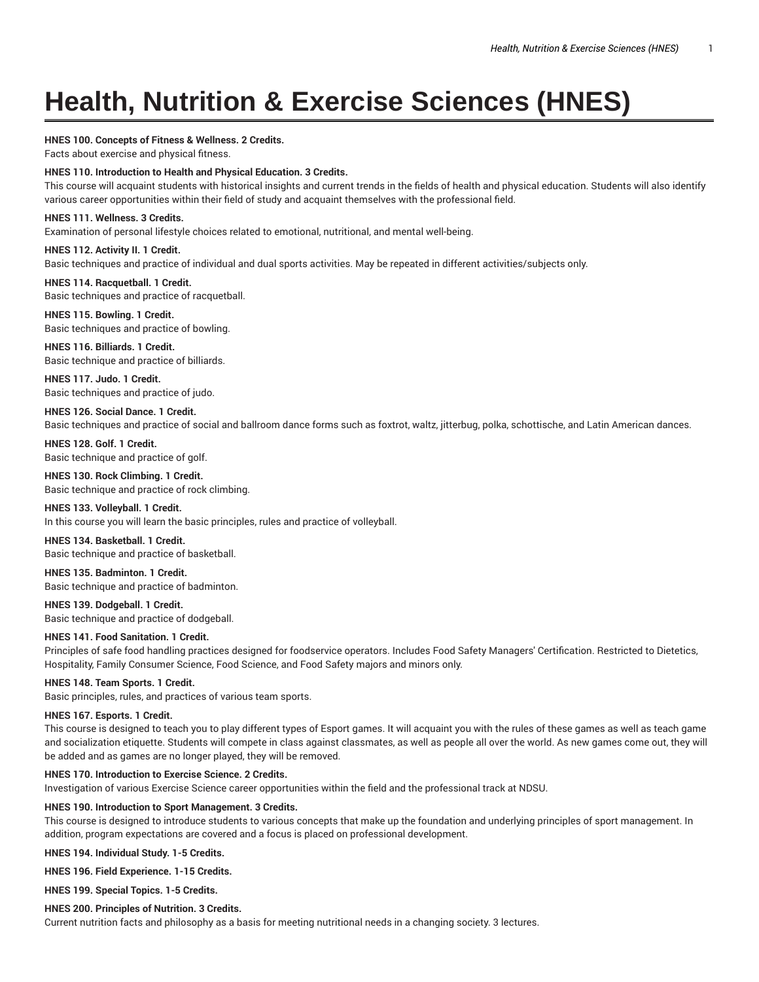# **Health, Nutrition & Exercise Sciences (HNES)**

# **HNES 100. Concepts of Fitness & Wellness. 2 Credits.**

Facts about exercise and physical fitness.

# **HNES 110. Introduction to Health and Physical Education. 3 Credits.**

This course will acquaint students with historical insights and current trends in the fields of health and physical education. Students will also identify various career opportunities within their field of study and acquaint themselves with the professional field.

# **HNES 111. Wellness. 3 Credits.**

Examination of personal lifestyle choices related to emotional, nutritional, and mental well-being.

# **HNES 112. Activity II. 1 Credit.**

Basic techniques and practice of individual and dual sports activities. May be repeated in different activities/subjects only.

**HNES 114. Racquetball. 1 Credit.** Basic techniques and practice of racquetball.

# **HNES 115. Bowling. 1 Credit.** Basic techniques and practice of bowling.

**HNES 116. Billiards. 1 Credit.**

Basic technique and practice of billiards.

**HNES 117. Judo. 1 Credit.** Basic techniques and practice of judo.

# **HNES 126. Social Dance. 1 Credit.** Basic techniques and practice of social and ballroom dance forms such as foxtrot, waltz, jitterbug, polka, schottische, and Latin American dances.

**HNES 128. Golf. 1 Credit.** Basic technique and practice of golf.

**HNES 130. Rock Climbing. 1 Credit.** Basic technique and practice of rock climbing.

**HNES 133. Volleyball. 1 Credit.** In this course you will learn the basic principles, rules and practice of volleyball.

**HNES 134. Basketball. 1 Credit.** Basic technique and practice of basketball.

**HNES 135. Badminton. 1 Credit.** Basic technique and practice of badminton.

**HNES 139. Dodgeball. 1 Credit.** Basic technique and practice of dodgeball.

# **HNES 141. Food Sanitation. 1 Credit.**

Principles of safe food handling practices designed for foodservice operators. Includes Food Safety Managers' Certification. Restricted to Dietetics, Hospitality, Family Consumer Science, Food Science, and Food Safety majors and minors only.

# **HNES 148. Team Sports. 1 Credit.**

Basic principles, rules, and practices of various team sports.

# **HNES 167. Esports. 1 Credit.**

This course is designed to teach you to play different types of Esport games. It will acquaint you with the rules of these games as well as teach game and socialization etiquette. Students will compete in class against classmates, as well as people all over the world. As new games come out, they will be added and as games are no longer played, they will be removed.

# **HNES 170. Introduction to Exercise Science. 2 Credits.**

Investigation of various Exercise Science career opportunities within the field and the professional track at NDSU.

# **HNES 190. Introduction to Sport Management. 3 Credits.**

This course is designed to introduce students to various concepts that make up the foundation and underlying principles of sport management. In addition, program expectations are covered and a focus is placed on professional development.

**HNES 194. Individual Study. 1-5 Credits.**

**HNES 196. Field Experience. 1-15 Credits.**

**HNES 199. Special Topics. 1-5 Credits.**

# **HNES 200. Principles of Nutrition. 3 Credits.**

Current nutrition facts and philosophy as a basis for meeting nutritional needs in a changing society. 3 lectures.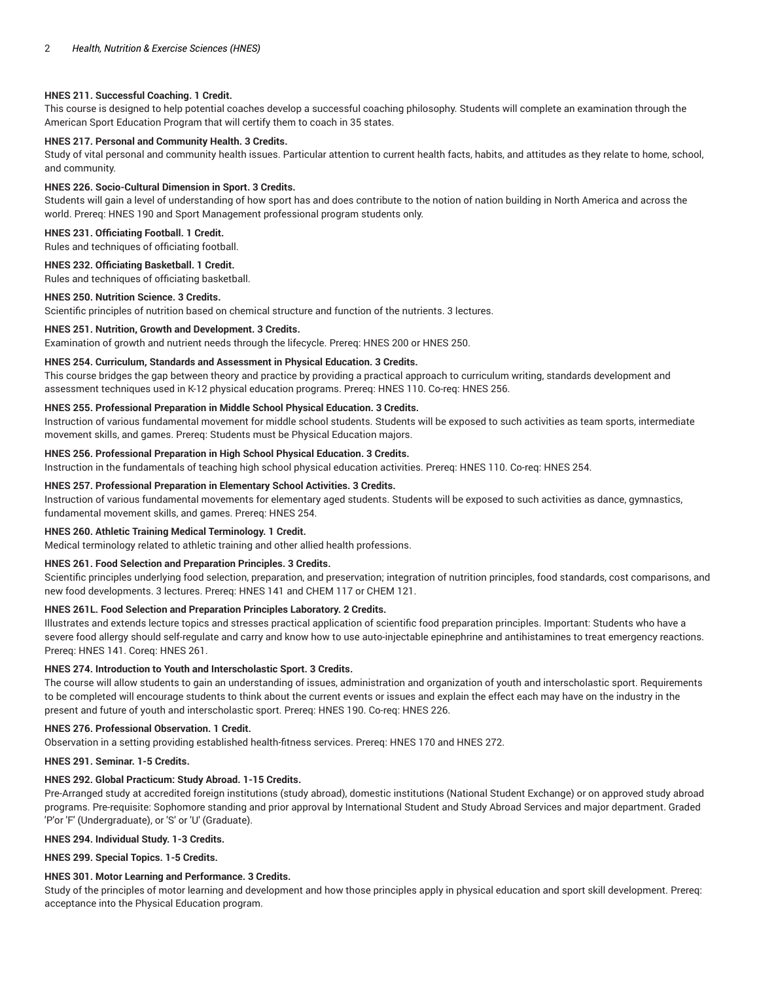## **HNES 211. Successful Coaching. 1 Credit.**

This course is designed to help potential coaches develop a successful coaching philosophy. Students will complete an examination through the American Sport Education Program that will certify them to coach in 35 states.

# **HNES 217. Personal and Community Health. 3 Credits.**

Study of vital personal and community health issues. Particular attention to current health facts, habits, and attitudes as they relate to home, school, and community.

#### **HNES 226. Socio-Cultural Dimension in Sport. 3 Credits.**

Students will gain a level of understanding of how sport has and does contribute to the notion of nation building in North America and across the world. Prereq: HNES 190 and Sport Management professional program students only.

## **HNES 231. Officiating Football. 1 Credit.**

Rules and techniques of officiating football.

## **HNES 232. Officiating Basketball. 1 Credit.**

Rules and techniques of officiating basketball.

### **HNES 250. Nutrition Science. 3 Credits.**

Scientific principles of nutrition based on chemical structure and function of the nutrients. 3 lectures.

## **HNES 251. Nutrition, Growth and Development. 3 Credits.**

Examination of growth and nutrient needs through the lifecycle. Prereq: HNES 200 or HNES 250.

# **HNES 254. Curriculum, Standards and Assessment in Physical Education. 3 Credits.**

This course bridges the gap between theory and practice by providing a practical approach to curriculum writing, standards development and assessment techniques used in K-12 physical education programs. Prereq: HNES 110. Co-req: HNES 256.

# **HNES 255. Professional Preparation in Middle School Physical Education. 3 Credits.**

Instruction of various fundamental movement for middle school students. Students will be exposed to such activities as team sports, intermediate movement skills, and games. Prereq: Students must be Physical Education majors.

#### **HNES 256. Professional Preparation in High School Physical Education. 3 Credits.**

Instruction in the fundamentals of teaching high school physical education activities. Prereq: HNES 110. Co-req: HNES 254.

# **HNES 257. Professional Preparation in Elementary School Activities. 3 Credits.**

Instruction of various fundamental movements for elementary aged students. Students will be exposed to such activities as dance, gymnastics, fundamental movement skills, and games. Prereq: HNES 254.

#### **HNES 260. Athletic Training Medical Terminology. 1 Credit.**

Medical terminology related to athletic training and other allied health professions.

#### **HNES 261. Food Selection and Preparation Principles. 3 Credits.**

Scientific principles underlying food selection, preparation, and preservation; integration of nutrition principles, food standards, cost comparisons, and new food developments. 3 lectures. Prereq: HNES 141 and CHEM 117 or CHEM 121.

## **HNES 261L. Food Selection and Preparation Principles Laboratory. 2 Credits.**

Illustrates and extends lecture topics and stresses practical application of scientific food preparation principles. Important: Students who have a severe food allergy should self-regulate and carry and know how to use auto-injectable epinephrine and antihistamines to treat emergency reactions. Prereq: HNES 141. Coreq: HNES 261.

## **HNES 274. Introduction to Youth and Interscholastic Sport. 3 Credits.**

The course will allow students to gain an understanding of issues, administration and organization of youth and interscholastic sport. Requirements to be completed will encourage students to think about the current events or issues and explain the effect each may have on the industry in the present and future of youth and interscholastic sport. Prereq: HNES 190. Co-req: HNES 226.

#### **HNES 276. Professional Observation. 1 Credit.**

Observation in a setting providing established health-fitness services. Prereq: HNES 170 and HNES 272.

# **HNES 291. Seminar. 1-5 Credits.**

# **HNES 292. Global Practicum: Study Abroad. 1-15 Credits.**

Pre-Arranged study at accredited foreign institutions (study abroad), domestic institutions (National Student Exchange) or on approved study abroad programs. Pre-requisite: Sophomore standing and prior approval by International Student and Study Abroad Services and major department. Graded 'P'or 'F' (Undergraduate), or 'S' or 'U' (Graduate).

# **HNES 294. Individual Study. 1-3 Credits.**

**HNES 299. Special Topics. 1-5 Credits.**

# **HNES 301. Motor Learning and Performance. 3 Credits.**

Study of the principles of motor learning and development and how those principles apply in physical education and sport skill development. Prereq: acceptance into the Physical Education program.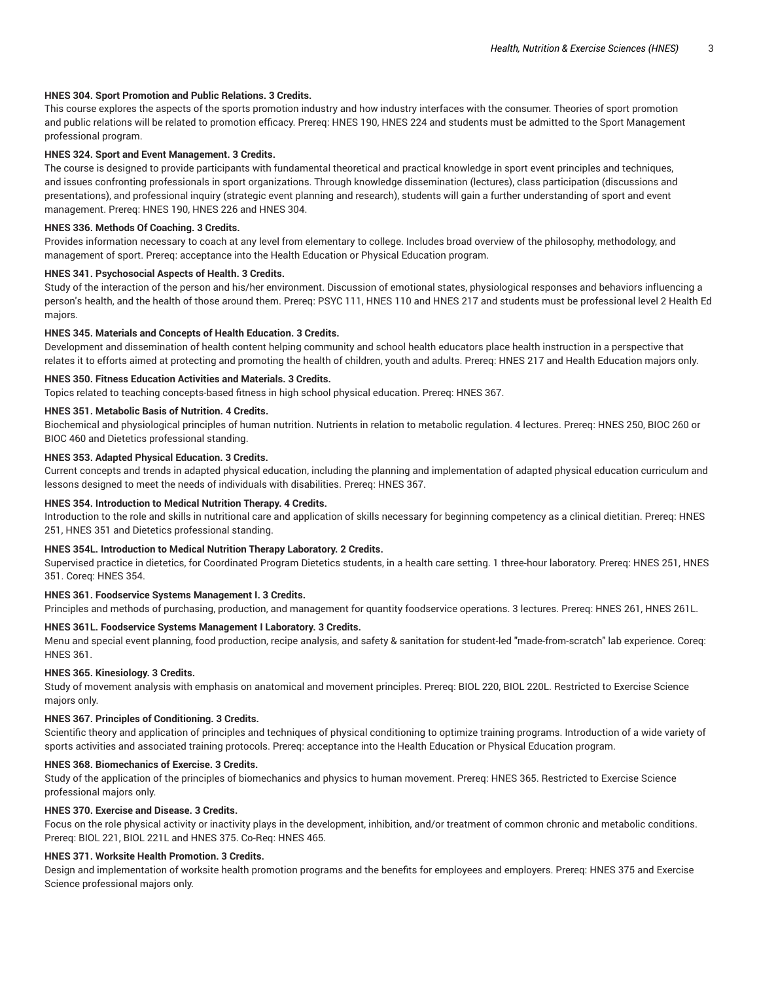## **HNES 304. Sport Promotion and Public Relations. 3 Credits.**

This course explores the aspects of the sports promotion industry and how industry interfaces with the consumer. Theories of sport promotion and public relations will be related to promotion efficacy. Prereq: HNES 190, HNES 224 and students must be admitted to the Sport Management professional program.

## **HNES 324. Sport and Event Management. 3 Credits.**

The course is designed to provide participants with fundamental theoretical and practical knowledge in sport event principles and techniques, and issues confronting professionals in sport organizations. Through knowledge dissemination (lectures), class participation (discussions and presentations), and professional inquiry (strategic event planning and research), students will gain a further understanding of sport and event management. Prereq: HNES 190, HNES 226 and HNES 304.

## **HNES 336. Methods Of Coaching. 3 Credits.**

Provides information necessary to coach at any level from elementary to college. Includes broad overview of the philosophy, methodology, and management of sport. Prereq: acceptance into the Health Education or Physical Education program.

## **HNES 341. Psychosocial Aspects of Health. 3 Credits.**

Study of the interaction of the person and his/her environment. Discussion of emotional states, physiological responses and behaviors influencing a person's health, and the health of those around them. Prereq: PSYC 111, HNES 110 and HNES 217 and students must be professional level 2 Health Ed majors.

## **HNES 345. Materials and Concepts of Health Education. 3 Credits.**

Development and dissemination of health content helping community and school health educators place health instruction in a perspective that relates it to efforts aimed at protecting and promoting the health of children, youth and adults. Prereq: HNES 217 and Health Education majors only.

## **HNES 350. Fitness Education Activities and Materials. 3 Credits.**

Topics related to teaching concepts-based fitness in high school physical education. Prereq: HNES 367.

## **HNES 351. Metabolic Basis of Nutrition. 4 Credits.**

Biochemical and physiological principles of human nutrition. Nutrients in relation to metabolic regulation. 4 lectures. Prereq: HNES 250, BIOC 260 or BIOC 460 and Dietetics professional standing.

## **HNES 353. Adapted Physical Education. 3 Credits.**

Current concepts and trends in adapted physical education, including the planning and implementation of adapted physical education curriculum and lessons designed to meet the needs of individuals with disabilities. Prereq: HNES 367.

## **HNES 354. Introduction to Medical Nutrition Therapy. 4 Credits.**

Introduction to the role and skills in nutritional care and application of skills necessary for beginning competency as a clinical dietitian. Prereq: HNES 251, HNES 351 and Dietetics professional standing.

#### **HNES 354L. Introduction to Medical Nutrition Therapy Laboratory. 2 Credits.**

Supervised practice in dietetics, for Coordinated Program Dietetics students, in a health care setting. 1 three-hour laboratory. Prereq: HNES 251, HNES 351. Coreq: HNES 354.

## **HNES 361. Foodservice Systems Management I. 3 Credits.**

Principles and methods of purchasing, production, and management for quantity foodservice operations. 3 lectures. Prereq: HNES 261, HNES 261L.

## **HNES 361L. Foodservice Systems Management I Laboratory. 3 Credits.**

Menu and special event planning, food production, recipe analysis, and safety & sanitation for student-led "made-from-scratch" lab experience. Coreq: HNES 361.

# **HNES 365. Kinesiology. 3 Credits.**

Study of movement analysis with emphasis on anatomical and movement principles. Prereq: BIOL 220, BIOL 220L. Restricted to Exercise Science majors only.

#### **HNES 367. Principles of Conditioning. 3 Credits.**

Scientific theory and application of principles and techniques of physical conditioning to optimize training programs. Introduction of a wide variety of sports activities and associated training protocols. Prereq: acceptance into the Health Education or Physical Education program.

## **HNES 368. Biomechanics of Exercise. 3 Credits.**

Study of the application of the principles of biomechanics and physics to human movement. Prereq: HNES 365. Restricted to Exercise Science professional majors only.

## **HNES 370. Exercise and Disease. 3 Credits.**

Focus on the role physical activity or inactivity plays in the development, inhibition, and/or treatment of common chronic and metabolic conditions. Prereq: BIOL 221, BIOL 221L and HNES 375. Co-Req: HNES 465.

## **HNES 371. Worksite Health Promotion. 3 Credits.**

Design and implementation of worksite health promotion programs and the benefits for employees and employers. Prereq: HNES 375 and Exercise Science professional majors only.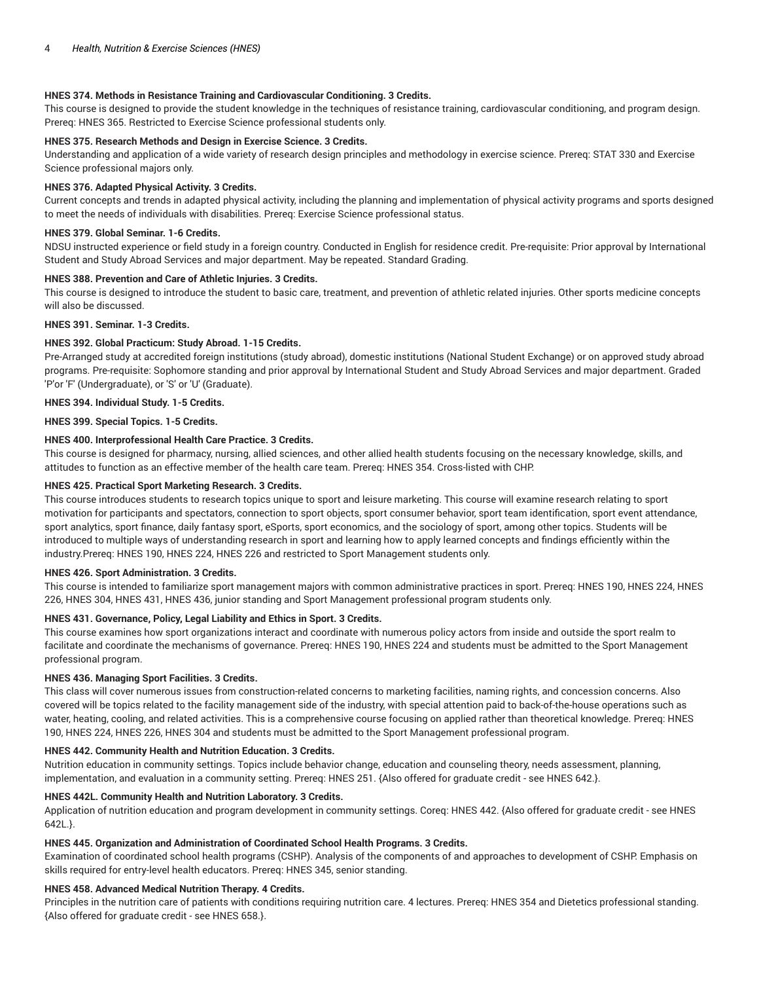# **HNES 374. Methods in Resistance Training and Cardiovascular Conditioning. 3 Credits.**

This course is designed to provide the student knowledge in the techniques of resistance training, cardiovascular conditioning, and program design. Prereq: HNES 365. Restricted to Exercise Science professional students only.

# **HNES 375. Research Methods and Design in Exercise Science. 3 Credits.**

Understanding and application of a wide variety of research design principles and methodology in exercise science. Prereq: STAT 330 and Exercise Science professional majors only.

## **HNES 376. Adapted Physical Activity. 3 Credits.**

Current concepts and trends in adapted physical activity, including the planning and implementation of physical activity programs and sports designed to meet the needs of individuals with disabilities. Prereq: Exercise Science professional status.

# **HNES 379. Global Seminar. 1-6 Credits.**

NDSU instructed experience or field study in a foreign country. Conducted in English for residence credit. Pre-requisite: Prior approval by International Student and Study Abroad Services and major department. May be repeated. Standard Grading.

# **HNES 388. Prevention and Care of Athletic Injuries. 3 Credits.**

This course is designed to introduce the student to basic care, treatment, and prevention of athletic related injuries. Other sports medicine concepts will also be discussed.

## **HNES 391. Seminar. 1-3 Credits.**

## **HNES 392. Global Practicum: Study Abroad. 1-15 Credits.**

Pre-Arranged study at accredited foreign institutions (study abroad), domestic institutions (National Student Exchange) or on approved study abroad programs. Pre-requisite: Sophomore standing and prior approval by International Student and Study Abroad Services and major department. Graded 'P'or 'F' (Undergraduate), or 'S' or 'U' (Graduate).

# **HNES 394. Individual Study. 1-5 Credits.**

**HNES 399. Special Topics. 1-5 Credits.**

## **HNES 400. Interprofessional Health Care Practice. 3 Credits.**

This course is designed for pharmacy, nursing, allied sciences, and other allied health students focusing on the necessary knowledge, skills, and attitudes to function as an effective member of the health care team. Prereq: HNES 354. Cross-listed with CHP.

## **HNES 425. Practical Sport Marketing Research. 3 Credits.**

This course introduces students to research topics unique to sport and leisure marketing. This course will examine research relating to sport motivation for participants and spectators, connection to sport objects, sport consumer behavior, sport team identification, sport event attendance, sport analytics, sport finance, daily fantasy sport, eSports, sport economics, and the sociology of sport, among other topics. Students will be introduced to multiple ways of understanding research in sport and learning how to apply learned concepts and findings efficiently within the industry.Prereq: HNES 190, HNES 224, HNES 226 and restricted to Sport Management students only.

#### **HNES 426. Sport Administration. 3 Credits.**

This course is intended to familiarize sport management majors with common administrative practices in sport. Prereq: HNES 190, HNES 224, HNES 226, HNES 304, HNES 431, HNES 436, junior standing and Sport Management professional program students only.

# **HNES 431. Governance, Policy, Legal Liability and Ethics in Sport. 3 Credits.**

This course examines how sport organizations interact and coordinate with numerous policy actors from inside and outside the sport realm to facilitate and coordinate the mechanisms of governance. Prereq: HNES 190, HNES 224 and students must be admitted to the Sport Management professional program.

# **HNES 436. Managing Sport Facilities. 3 Credits.**

This class will cover numerous issues from construction-related concerns to marketing facilities, naming rights, and concession concerns. Also covered will be topics related to the facility management side of the industry, with special attention paid to back-of-the-house operations such as water, heating, cooling, and related activities. This is a comprehensive course focusing on applied rather than theoretical knowledge. Prereq: HNES 190, HNES 224, HNES 226, HNES 304 and students must be admitted to the Sport Management professional program.

## **HNES 442. Community Health and Nutrition Education. 3 Credits.**

Nutrition education in community settings. Topics include behavior change, education and counseling theory, needs assessment, planning, implementation, and evaluation in a community setting. Prereq: HNES 251. {Also offered for graduate credit - see HNES 642.}.

# **HNES 442L. Community Health and Nutrition Laboratory. 3 Credits.**

Application of nutrition education and program development in community settings. Coreq: HNES 442. {Also offered for graduate credit - see HNES 642L.}.

# **HNES 445. Organization and Administration of Coordinated School Health Programs. 3 Credits.**

Examination of coordinated school health programs (CSHP). Analysis of the components of and approaches to development of CSHP. Emphasis on skills required for entry-level health educators. Prereq: HNES 345, senior standing.

# **HNES 458. Advanced Medical Nutrition Therapy. 4 Credits.**

Principles in the nutrition care of patients with conditions requiring nutrition care. 4 lectures. Prereq: HNES 354 and Dietetics professional standing. {Also offered for graduate credit - see HNES 658.}.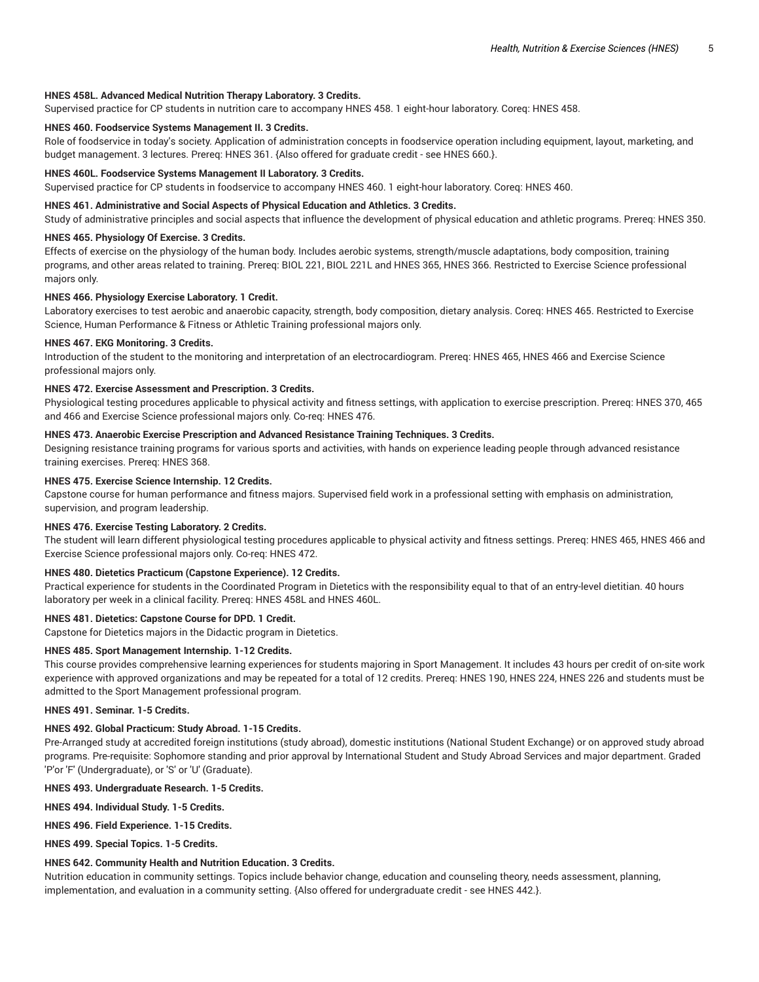## **HNES 458L. Advanced Medical Nutrition Therapy Laboratory. 3 Credits.**

Supervised practice for CP students in nutrition care to accompany HNES 458. 1 eight-hour laboratory. Coreq: HNES 458.

## **HNES 460. Foodservice Systems Management II. 3 Credits.**

Role of foodservice in today's society. Application of administration concepts in foodservice operation including equipment, layout, marketing, and budget management. 3 lectures. Prereq: HNES 361. {Also offered for graduate credit - see HNES 660.}.

## **HNES 460L. Foodservice Systems Management II Laboratory. 3 Credits.**

Supervised practice for CP students in foodservice to accompany HNES 460. 1 eight-hour laboratory. Coreq: HNES 460.

## **HNES 461. Administrative and Social Aspects of Physical Education and Athletics. 3 Credits.**

Study of administrative principles and social aspects that influence the development of physical education and athletic programs. Prereq: HNES 350.

## **HNES 465. Physiology Of Exercise. 3 Credits.**

Effects of exercise on the physiology of the human body. Includes aerobic systems, strength/muscle adaptations, body composition, training programs, and other areas related to training. Prereq: BIOL 221, BIOL 221L and HNES 365, HNES 366. Restricted to Exercise Science professional majors only.

### **HNES 466. Physiology Exercise Laboratory. 1 Credit.**

Laboratory exercises to test aerobic and anaerobic capacity, strength, body composition, dietary analysis. Coreq: HNES 465. Restricted to Exercise Science, Human Performance & Fitness or Athletic Training professional majors only.

## **HNES 467. EKG Monitoring. 3 Credits.**

Introduction of the student to the monitoring and interpretation of an electrocardiogram. Prereq: HNES 465, HNES 466 and Exercise Science professional majors only.

## **HNES 472. Exercise Assessment and Prescription. 3 Credits.**

Physiological testing procedures applicable to physical activity and fitness settings, with application to exercise prescription. Prereq: HNES 370, 465 and 466 and Exercise Science professional majors only. Co-req: HNES 476.

# **HNES 473. Anaerobic Exercise Prescription and Advanced Resistance Training Techniques. 3 Credits.**

Designing resistance training programs for various sports and activities, with hands on experience leading people through advanced resistance training exercises. Prereq: HNES 368.

## **HNES 475. Exercise Science Internship. 12 Credits.**

Capstone course for human performance and fitness majors. Supervised field work in a professional setting with emphasis on administration, supervision, and program leadership.

# **HNES 476. Exercise Testing Laboratory. 2 Credits.**

The student will learn different physiological testing procedures applicable to physical activity and fitness settings. Prereq: HNES 465, HNES 466 and Exercise Science professional majors only. Co-req: HNES 472.

# **HNES 480. Dietetics Practicum (Capstone Experience). 12 Credits.**

Practical experience for students in the Coordinated Program in Dietetics with the responsibility equal to that of an entry-level dietitian. 40 hours laboratory per week in a clinical facility. Prereq: HNES 458L and HNES 460L.

# **HNES 481. Dietetics: Capstone Course for DPD. 1 Credit.**

Capstone for Dietetics majors in the Didactic program in Dietetics.

## **HNES 485. Sport Management Internship. 1-12 Credits.**

This course provides comprehensive learning experiences for students majoring in Sport Management. It includes 43 hours per credit of on-site work experience with approved organizations and may be repeated for a total of 12 credits. Prereq: HNES 190, HNES 224, HNES 226 and students must be admitted to the Sport Management professional program.

**HNES 491. Seminar. 1-5 Credits.**

## **HNES 492. Global Practicum: Study Abroad. 1-15 Credits.**

Pre-Arranged study at accredited foreign institutions (study abroad), domestic institutions (National Student Exchange) or on approved study abroad programs. Pre-requisite: Sophomore standing and prior approval by International Student and Study Abroad Services and major department. Graded 'P'or 'F' (Undergraduate), or 'S' or 'U' (Graduate).

## **HNES 493. Undergraduate Research. 1-5 Credits.**

**HNES 494. Individual Study. 1-5 Credits.**

# **HNES 496. Field Experience. 1-15 Credits.**

**HNES 499. Special Topics. 1-5 Credits.**

#### **HNES 642. Community Health and Nutrition Education. 3 Credits.**

Nutrition education in community settings. Topics include behavior change, education and counseling theory, needs assessment, planning, implementation, and evaluation in a community setting. {Also offered for undergraduate credit - see HNES 442.}.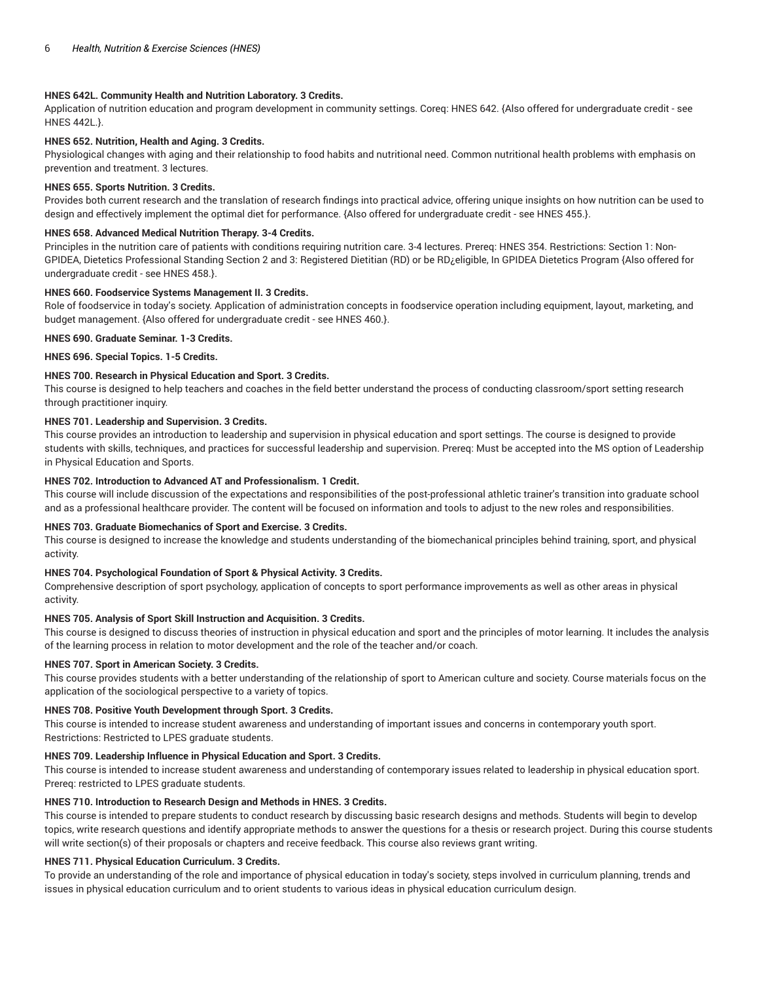# **HNES 642L. Community Health and Nutrition Laboratory. 3 Credits.**

Application of nutrition education and program development in community settings. Coreq: HNES 642. {Also offered for undergraduate credit - see HNES 442L.}.

# **HNES 652. Nutrition, Health and Aging. 3 Credits.**

Physiological changes with aging and their relationship to food habits and nutritional need. Common nutritional health problems with emphasis on prevention and treatment. 3 lectures.

# **HNES 655. Sports Nutrition. 3 Credits.**

Provides both current research and the translation of research findings into practical advice, offering unique insights on how nutrition can be used to design and effectively implement the optimal diet for performance. {Also offered for undergraduate credit - see HNES 455.}.

# **HNES 658. Advanced Medical Nutrition Therapy. 3-4 Credits.**

Principles in the nutrition care of patients with conditions requiring nutrition care. 3-4 lectures. Prereq: HNES 354. Restrictions: Section 1: Non-GPIDEA, Dietetics Professional Standing Section 2 and 3: Registered Dietitian (RD) or be RD¿eligible, In GPIDEA Dietetics Program {Also offered for undergraduate credit - see HNES 458.}.

# **HNES 660. Foodservice Systems Management II. 3 Credits.**

Role of foodservice in today's society. Application of administration concepts in foodservice operation including equipment, layout, marketing, and budget management. {Also offered for undergraduate credit - see HNES 460.}.

# **HNES 690. Graduate Seminar. 1-3 Credits.**

**HNES 696. Special Topics. 1-5 Credits.**

# **HNES 700. Research in Physical Education and Sport. 3 Credits.**

This course is designed to help teachers and coaches in the field better understand the process of conducting classroom/sport setting research through practitioner inquiry.

# **HNES 701. Leadership and Supervision. 3 Credits.**

This course provides an introduction to leadership and supervision in physical education and sport settings. The course is designed to provide students with skills, techniques, and practices for successful leadership and supervision. Prereq: Must be accepted into the MS option of Leadership in Physical Education and Sports.

# **HNES 702. Introduction to Advanced AT and Professionalism. 1 Credit.**

This course will include discussion of the expectations and responsibilities of the post-professional athletic trainer's transition into graduate school and as a professional healthcare provider. The content will be focused on information and tools to adjust to the new roles and responsibilities.

# **HNES 703. Graduate Biomechanics of Sport and Exercise. 3 Credits.**

This course is designed to increase the knowledge and students understanding of the biomechanical principles behind training, sport, and physical activity.

# **HNES 704. Psychological Foundation of Sport & Physical Activity. 3 Credits.**

Comprehensive description of sport psychology, application of concepts to sport performance improvements as well as other areas in physical activity.

# **HNES 705. Analysis of Sport Skill Instruction and Acquisition. 3 Credits.**

This course is designed to discuss theories of instruction in physical education and sport and the principles of motor learning. It includes the analysis of the learning process in relation to motor development and the role of the teacher and/or coach.

# **HNES 707. Sport in American Society. 3 Credits.**

This course provides students with a better understanding of the relationship of sport to American culture and society. Course materials focus on the application of the sociological perspective to a variety of topics.

# **HNES 708. Positive Youth Development through Sport. 3 Credits.**

This course is intended to increase student awareness and understanding of important issues and concerns in contemporary youth sport. Restrictions: Restricted to LPES graduate students.

# **HNES 709. Leadership Influence in Physical Education and Sport. 3 Credits.**

This course is intended to increase student awareness and understanding of contemporary issues related to leadership in physical education sport. Prereq: restricted to LPES graduate students.

# **HNES 710. Introduction to Research Design and Methods in HNES. 3 Credits.**

This course is intended to prepare students to conduct research by discussing basic research designs and methods. Students will begin to develop topics, write research questions and identify appropriate methods to answer the questions for a thesis or research project. During this course students will write section(s) of their proposals or chapters and receive feedback. This course also reviews grant writing.

# **HNES 711. Physical Education Curriculum. 3 Credits.**

To provide an understanding of the role and importance of physical education in today's society, steps involved in curriculum planning, trends and issues in physical education curriculum and to orient students to various ideas in physical education curriculum design.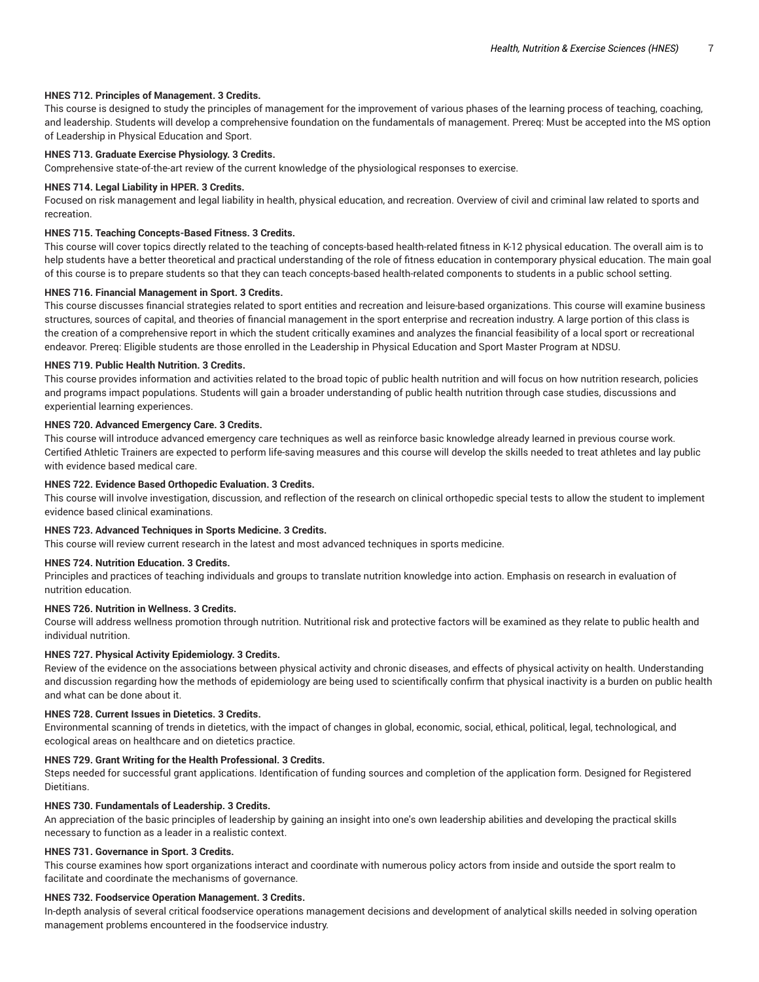## **HNES 712. Principles of Management. 3 Credits.**

This course is designed to study the principles of management for the improvement of various phases of the learning process of teaching, coaching, and leadership. Students will develop a comprehensive foundation on the fundamentals of management. Prereq: Must be accepted into the MS option of Leadership in Physical Education and Sport.

## **HNES 713. Graduate Exercise Physiology. 3 Credits.**

Comprehensive state-of-the-art review of the current knowledge of the physiological responses to exercise.

## **HNES 714. Legal Liability in HPER. 3 Credits.**

Focused on risk management and legal liability in health, physical education, and recreation. Overview of civil and criminal law related to sports and recreation.

# **HNES 715. Teaching Concepts-Based Fitness. 3 Credits.**

This course will cover topics directly related to the teaching of concepts-based health-related fitness in K-12 physical education. The overall aim is to help students have a better theoretical and practical understanding of the role of fitness education in contemporary physical education. The main goal of this course is to prepare students so that they can teach concepts-based health-related components to students in a public school setting.

## **HNES 716. Financial Management in Sport. 3 Credits.**

This course discusses financial strategies related to sport entities and recreation and leisure-based organizations. This course will examine business structures, sources of capital, and theories of financial management in the sport enterprise and recreation industry. A large portion of this class is the creation of a comprehensive report in which the student critically examines and analyzes the financial feasibility of a local sport or recreational endeavor. Prereq: Eligible students are those enrolled in the Leadership in Physical Education and Sport Master Program at NDSU.

## **HNES 719. Public Health Nutrition. 3 Credits.**

This course provides information and activities related to the broad topic of public health nutrition and will focus on how nutrition research, policies and programs impact populations. Students will gain a broader understanding of public health nutrition through case studies, discussions and experiential learning experiences.

## **HNES 720. Advanced Emergency Care. 3 Credits.**

This course will introduce advanced emergency care techniques as well as reinforce basic knowledge already learned in previous course work. Certified Athletic Trainers are expected to perform life-saving measures and this course will develop the skills needed to treat athletes and lay public with evidence based medical care.

# **HNES 722. Evidence Based Orthopedic Evaluation. 3 Credits.**

This course will involve investigation, discussion, and reflection of the research on clinical orthopedic special tests to allow the student to implement evidence based clinical examinations.

# **HNES 723. Advanced Techniques in Sports Medicine. 3 Credits.**

This course will review current research in the latest and most advanced techniques in sports medicine.

# **HNES 724. Nutrition Education. 3 Credits.**

Principles and practices of teaching individuals and groups to translate nutrition knowledge into action. Emphasis on research in evaluation of nutrition education.

## **HNES 726. Nutrition in Wellness. 3 Credits.**

Course will address wellness promotion through nutrition. Nutritional risk and protective factors will be examined as they relate to public health and individual nutrition.

## **HNES 727. Physical Activity Epidemiology. 3 Credits.**

Review of the evidence on the associations between physical activity and chronic diseases, and effects of physical activity on health. Understanding and discussion regarding how the methods of epidemiology are being used to scientifically confirm that physical inactivity is a burden on public health and what can be done about it.

# **HNES 728. Current Issues in Dietetics. 3 Credits.**

Environmental scanning of trends in dietetics, with the impact of changes in global, economic, social, ethical, political, legal, technological, and ecological areas on healthcare and on dietetics practice.

#### **HNES 729. Grant Writing for the Health Professional. 3 Credits.**

Steps needed for successful grant applications. Identification of funding sources and completion of the application form. Designed for Registered Dietitians.

## **HNES 730. Fundamentals of Leadership. 3 Credits.**

An appreciation of the basic principles of leadership by gaining an insight into one's own leadership abilities and developing the practical skills necessary to function as a leader in a realistic context.

# **HNES 731. Governance in Sport. 3 Credits.**

This course examines how sport organizations interact and coordinate with numerous policy actors from inside and outside the sport realm to facilitate and coordinate the mechanisms of governance.

## **HNES 732. Foodservice Operation Management. 3 Credits.**

In-depth analysis of several critical foodservice operations management decisions and development of analytical skills needed in solving operation management problems encountered in the foodservice industry.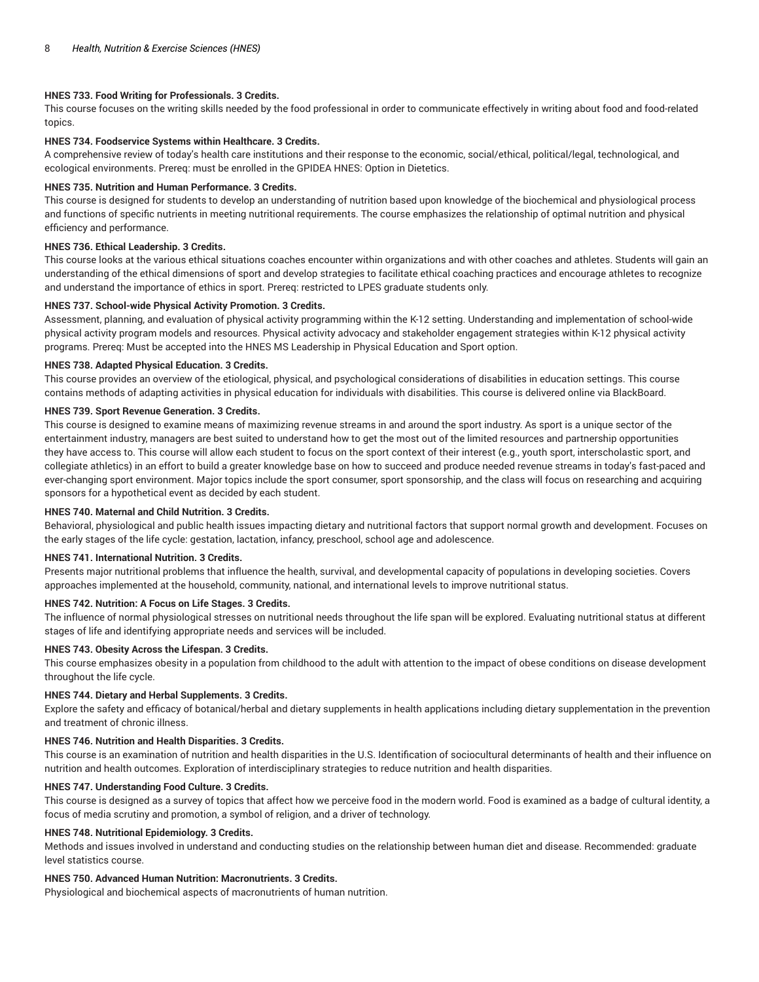# **HNES 733. Food Writing for Professionals. 3 Credits.**

This course focuses on the writing skills needed by the food professional in order to communicate effectively in writing about food and food-related topics.

# **HNES 734. Foodservice Systems within Healthcare. 3 Credits.**

A comprehensive review of today's health care institutions and their response to the economic, social/ethical, political/legal, technological, and ecological environments. Prereq: must be enrolled in the GPIDEA HNES: Option in Dietetics.

## **HNES 735. Nutrition and Human Performance. 3 Credits.**

This course is designed for students to develop an understanding of nutrition based upon knowledge of the biochemical and physiological process and functions of specific nutrients in meeting nutritional requirements. The course emphasizes the relationship of optimal nutrition and physical efficiency and performance.

# **HNES 736. Ethical Leadership. 3 Credits.**

This course looks at the various ethical situations coaches encounter within organizations and with other coaches and athletes. Students will gain an understanding of the ethical dimensions of sport and develop strategies to facilitate ethical coaching practices and encourage athletes to recognize and understand the importance of ethics in sport. Prereq: restricted to LPES graduate students only.

## **HNES 737. School-wide Physical Activity Promotion. 3 Credits.**

Assessment, planning, and evaluation of physical activity programming within the K-12 setting. Understanding and implementation of school-wide physical activity program models and resources. Physical activity advocacy and stakeholder engagement strategies within K-12 physical activity programs. Prereq: Must be accepted into the HNES MS Leadership in Physical Education and Sport option.

#### **HNES 738. Adapted Physical Education. 3 Credits.**

This course provides an overview of the etiological, physical, and psychological considerations of disabilities in education settings. This course contains methods of adapting activities in physical education for individuals with disabilities. This course is delivered online via BlackBoard.

## **HNES 739. Sport Revenue Generation. 3 Credits.**

This course is designed to examine means of maximizing revenue streams in and around the sport industry. As sport is a unique sector of the entertainment industry, managers are best suited to understand how to get the most out of the limited resources and partnership opportunities they have access to. This course will allow each student to focus on the sport context of their interest (e.g., youth sport, interscholastic sport, and collegiate athletics) in an effort to build a greater knowledge base on how to succeed and produce needed revenue streams in today's fast-paced and ever-changing sport environment. Major topics include the sport consumer, sport sponsorship, and the class will focus on researching and acquiring sponsors for a hypothetical event as decided by each student.

# **HNES 740. Maternal and Child Nutrition. 3 Credits.**

Behavioral, physiological and public health issues impacting dietary and nutritional factors that support normal growth and development. Focuses on the early stages of the life cycle: gestation, lactation, infancy, preschool, school age and adolescence.

# **HNES 741. International Nutrition. 3 Credits.**

Presents major nutritional problems that influence the health, survival, and developmental capacity of populations in developing societies. Covers approaches implemented at the household, community, national, and international levels to improve nutritional status.

# **HNES 742. Nutrition: A Focus on Life Stages. 3 Credits.**

The influence of normal physiological stresses on nutritional needs throughout the life span will be explored. Evaluating nutritional status at different stages of life and identifying appropriate needs and services will be included.

#### **HNES 743. Obesity Across the Lifespan. 3 Credits.**

This course emphasizes obesity in a population from childhood to the adult with attention to the impact of obese conditions on disease development throughout the life cycle.

#### **HNES 744. Dietary and Herbal Supplements. 3 Credits.**

Explore the safety and efficacy of botanical/herbal and dietary supplements in health applications including dietary supplementation in the prevention and treatment of chronic illness.

#### **HNES 746. Nutrition and Health Disparities. 3 Credits.**

This course is an examination of nutrition and health disparities in the U.S. Identification of sociocultural determinants of health and their influence on nutrition and health outcomes. Exploration of interdisciplinary strategies to reduce nutrition and health disparities.

#### **HNES 747. Understanding Food Culture. 3 Credits.**

This course is designed as a survey of topics that affect how we perceive food in the modern world. Food is examined as a badge of cultural identity, a focus of media scrutiny and promotion, a symbol of religion, and a driver of technology.

#### **HNES 748. Nutritional Epidemiology. 3 Credits.**

Methods and issues involved in understand and conducting studies on the relationship between human diet and disease. Recommended: graduate level statistics course.

# **HNES 750. Advanced Human Nutrition: Macronutrients. 3 Credits.**

Physiological and biochemical aspects of macronutrients of human nutrition.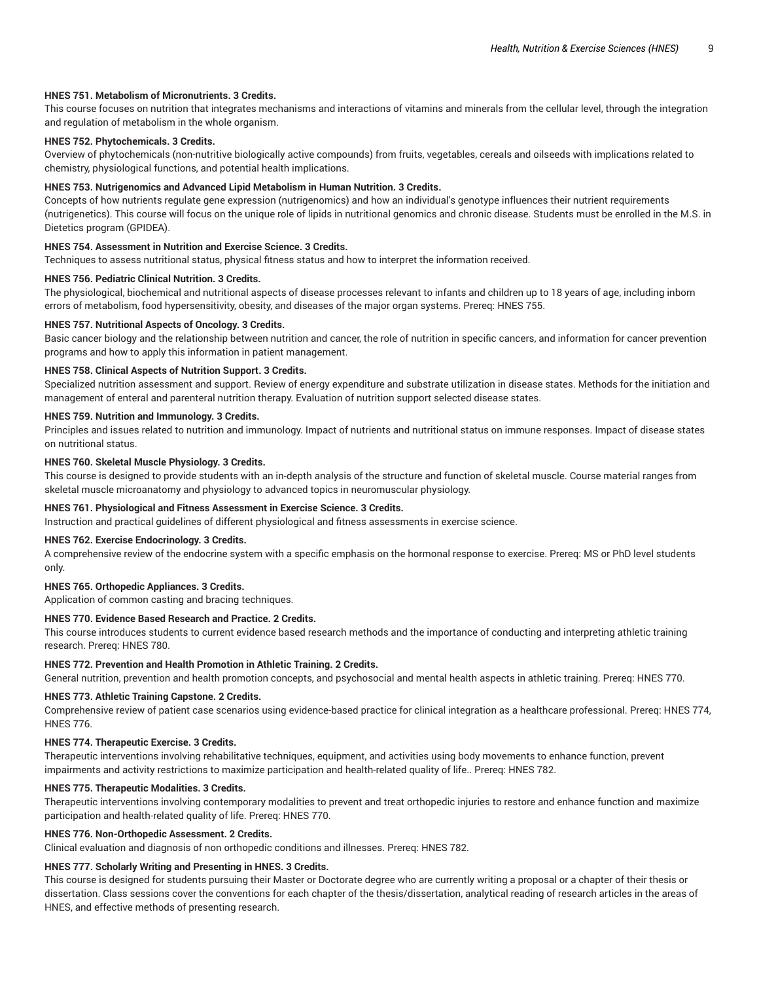## **HNES 751. Metabolism of Micronutrients. 3 Credits.**

This course focuses on nutrition that integrates mechanisms and interactions of vitamins and minerals from the cellular level, through the integration and regulation of metabolism in the whole organism.

# **HNES 752. Phytochemicals. 3 Credits.**

Overview of phytochemicals (non-nutritive biologically active compounds) from fruits, vegetables, cereals and oilseeds with implications related to chemistry, physiological functions, and potential health implications.

## **HNES 753. Nutrigenomics and Advanced Lipid Metabolism in Human Nutrition. 3 Credits.**

Concepts of how nutrients regulate gene expression (nutrigenomics) and how an individual's genotype influences their nutrient requirements (nutrigenetics). This course will focus on the unique role of lipids in nutritional genomics and chronic disease. Students must be enrolled in the M.S. in Dietetics program (GPIDEA).

# **HNES 754. Assessment in Nutrition and Exercise Science. 3 Credits.**

Techniques to assess nutritional status, physical fitness status and how to interpret the information received.

# **HNES 756. Pediatric Clinical Nutrition. 3 Credits.**

The physiological, biochemical and nutritional aspects of disease processes relevant to infants and children up to 18 years of age, including inborn errors of metabolism, food hypersensitivity, obesity, and diseases of the major organ systems. Prereq: HNES 755.

## **HNES 757. Nutritional Aspects of Oncology. 3 Credits.**

Basic cancer biology and the relationship between nutrition and cancer, the role of nutrition in specific cancers, and information for cancer prevention programs and how to apply this information in patient management.

## **HNES 758. Clinical Aspects of Nutrition Support. 3 Credits.**

Specialized nutrition assessment and support. Review of energy expenditure and substrate utilization in disease states. Methods for the initiation and management of enteral and parenteral nutrition therapy. Evaluation of nutrition support selected disease states.

## **HNES 759. Nutrition and Immunology. 3 Credits.**

Principles and issues related to nutrition and immunology. Impact of nutrients and nutritional status on immune responses. Impact of disease states on nutritional status.

## **HNES 760. Skeletal Muscle Physiology. 3 Credits.**

This course is designed to provide students with an in-depth analysis of the structure and function of skeletal muscle. Course material ranges from skeletal muscle microanatomy and physiology to advanced topics in neuromuscular physiology.

## **HNES 761. Physiological and Fitness Assessment in Exercise Science. 3 Credits.**

Instruction and practical guidelines of different physiological and fitness assessments in exercise science.

## **HNES 762. Exercise Endocrinology. 3 Credits.**

A comprehensive review of the endocrine system with a specific emphasis on the hormonal response to exercise. Prereq: MS or PhD level students only.

## **HNES 765. Orthopedic Appliances. 3 Credits.**

Application of common casting and bracing techniques.

# **HNES 770. Evidence Based Research and Practice. 2 Credits.**

This course introduces students to current evidence based research methods and the importance of conducting and interpreting athletic training research. Prereq: HNES 780.

#### **HNES 772. Prevention and Health Promotion in Athletic Training. 2 Credits.**

General nutrition, prevention and health promotion concepts, and psychosocial and mental health aspects in athletic training. Prereq: HNES 770.

# **HNES 773. Athletic Training Capstone. 2 Credits.**

Comprehensive review of patient case scenarios using evidence-based practice for clinical integration as a healthcare professional. Prereq: HNES 774, HNES 776.

#### **HNES 774. Therapeutic Exercise. 3 Credits.**

Therapeutic interventions involving rehabilitative techniques, equipment, and activities using body movements to enhance function, prevent impairments and activity restrictions to maximize participation and health-related quality of life.. Prereq: HNES 782.

### **HNES 775. Therapeutic Modalities. 3 Credits.**

Therapeutic interventions involving contemporary modalities to prevent and treat orthopedic injuries to restore and enhance function and maximize participation and health-related quality of life. Prereq: HNES 770.

#### **HNES 776. Non-Orthopedic Assessment. 2 Credits.**

Clinical evaluation and diagnosis of non orthopedic conditions and illnesses. Prereq: HNES 782.

## **HNES 777. Scholarly Writing and Presenting in HNES. 3 Credits.**

This course is designed for students pursuing their Master or Doctorate degree who are currently writing a proposal or a chapter of their thesis or dissertation. Class sessions cover the conventions for each chapter of the thesis/dissertation, analytical reading of research articles in the areas of HNES, and effective methods of presenting research.